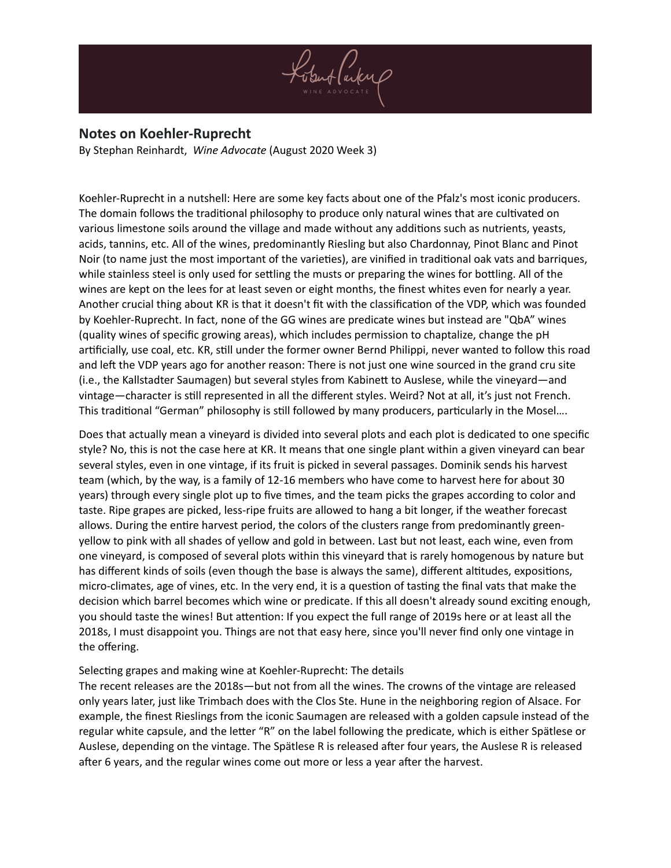

## **Notes on Koehler-Ruprecht**

By Stephan Reinhardt, *[Wine Advocate](https://www.robertparker.com/articles/9xt2Q9QggWRazJTyP)* (August 2020 Week 3)

Koehler-Ruprecht in a nutshell: Here are some key facts about one of the Pfalz's most iconic producers. The domain follows the traditional philosophy to produce only natural wines that are cultivated on various limestone soils around the village and made without any additions such as nutrients, yeasts, acids, tannins, etc. All of the wines, predominantly Riesling but also Chardonnay, Pinot Blanc and Pinot Noir (to name just the most important of the varieties), are vinified in traditional oak vats and barriques, while stainless steel is only used for settling the musts or preparing the wines for bottling. All of the wines are kept on the lees for at least seven or eight months, the finest whites even for nearly a year. Another crucial thing about KR is that it doesn't fit with the classification of the VDP, which was founded by Koehler-Ruprecht. In fact, none of the GG wines are predicate wines but instead are "QbA" wines (quality wines of specific growing areas), which includes permission to chaptalize, change the pH artificially, use coal, etc. KR, still under the former owner Bernd Philippi, never wanted to follow this road and left the VDP years ago for another reason: There is not just one wine sourced in the grand cru site (i.e., the Kallstadter Saumagen) but several styles from Kabinett to Auslese, while the vineyard—and vintage—character is still represented in all the different styles. Weird? Not at all, it's just not French. This traditional "German" philosophy is still followed by many producers, particularly in the Mosel….

Does that actually mean a vineyard is divided into several plots and each plot is dedicated to one specific style? No, this is not the case here at KR. It means that one single plant within a given vineyard can bear several styles, even in one vintage, if its fruit is picked in several passages. Dominik sends his harvest team (which, by the way, is a family of 12-16 members who have come to harvest here for about 30 years) through every single plot up to five times, and the team picks the grapes according to color and taste. Ripe grapes are picked, less-ripe fruits are allowed to hang a bit longer, if the weather forecast allows. During the entire harvest period, the colors of the clusters range from predominantly greenyellow to pink with all shades of yellow and gold in between. Last but not least, each wine, even from one vineyard, is composed of several plots within this vineyard that is rarely homogenous by nature but has different kinds of soils (even though the base is always the same), different altitudes, expositions, micro-climates, age of vines, etc. In the very end, it is a question of tasting the final vats that make the decision which barrel becomes which wine or predicate. If this all doesn't already sound exciting enough, you should taste the wines! But attention: If you expect the full range of 2019s here or at least all the 2018s, I must disappoint you. Things are not that easy here, since you'll never find only one vintage in the offering.

## Selecting grapes and making wine at Koehler-Ruprecht: The details

The recent releases are the 2018s—but not from all the wines. The crowns of the vintage are released only years later, just like Trimbach does with the Clos Ste. Hune in the neighboring region of Alsace. For example, the finest Rieslings from the iconic Saumagen are released with a golden capsule instead of the regular white capsule, and the letter "R" on the label following the predicate, which is either Spätlese or Auslese, depending on the vintage. The Spätlese R is released after four years, the Auslese R is released after 6 years, and the regular wines come out more or less a year after the harvest.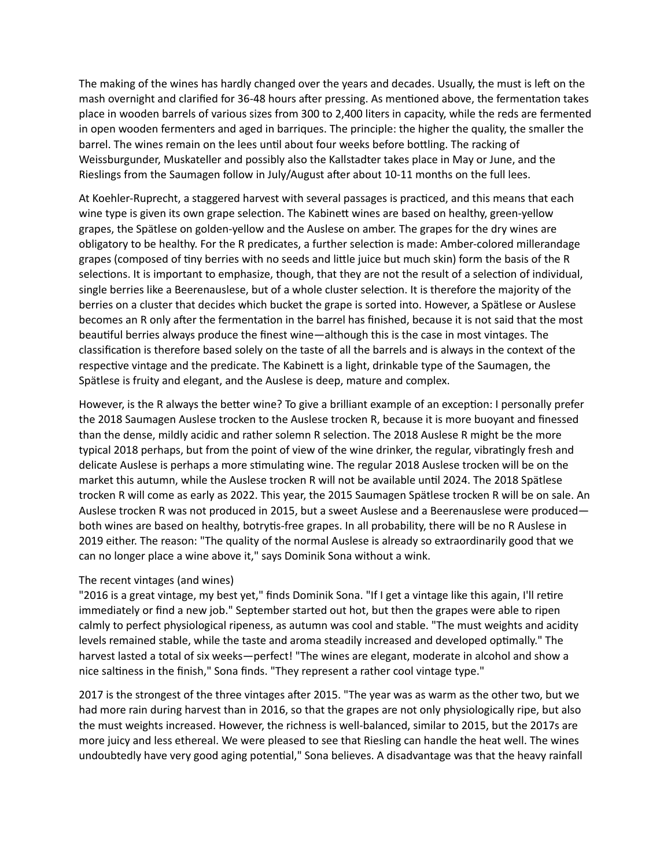The making of the wines has hardly changed over the years and decades. Usually, the must is left on the mash overnight and clarified for 36-48 hours after pressing. As mentioned above, the fermentation takes place in wooden barrels of various sizes from 300 to 2,400 liters in capacity, while the reds are fermented in open wooden fermenters and aged in barriques. The principle: the higher the quality, the smaller the barrel. The wines remain on the lees until about four weeks before bottling. The racking of Weissburgunder, Muskateller and possibly also the Kallstadter takes place in May or June, and the Rieslings from the Saumagen follow in July/August after about 10-11 months on the full lees.

At Koehler-Ruprecht, a staggered harvest with several passages is practiced, and this means that each wine type is given its own grape selection. The Kabinett wines are based on healthy, green-yellow grapes, the Spätlese on golden-yellow and the Auslese on amber. The grapes for the dry wines are obligatory to be healthy. For the R predicates, a further selection is made: Amber-colored millerandage grapes (composed of tiny berries with no seeds and little juice but much skin) form the basis of the R selections. It is important to emphasize, though, that they are not the result of a selection of individual, single berries like a Beerenauslese, but of a whole cluster selection. It is therefore the majority of the berries on a cluster that decides which bucket the grape is sorted into. However, a Spätlese or Auslese becomes an R only after the fermentation in the barrel has finished, because it is not said that the most beautiful berries always produce the finest wine—although this is the case in most vintages. The classification is therefore based solely on the taste of all the barrels and is always in the context of the respective vintage and the predicate. The Kabinett is a light, drinkable type of the Saumagen, the Spätlese is fruity and elegant, and the Auslese is deep, mature and complex.

However, is the R always the better wine? To give a brilliant example of an exception: I personally prefer the 2018 Saumagen Auslese trocken to the Auslese trocken R, because it is more buoyant and finessed than the dense, mildly acidic and rather solemn R selection. The 2018 Auslese R might be the more typical 2018 perhaps, but from the point of view of the wine drinker, the regular, vibratingly fresh and delicate Auslese is perhaps a more stimulating wine. The regular 2018 Auslese trocken will be on the market this autumn, while the Auslese trocken R will not be available until 2024. The 2018 Spätlese trocken R will come as early as 2022. This year, the 2015 Saumagen Spätlese trocken R will be on sale. An Auslese trocken R was not produced in 2015, but a sweet Auslese and a Beerenauslese were produced both wines are based on healthy, botrytis-free grapes. In all probability, there will be no R Auslese in 2019 either. The reason: "The quality of the normal Auslese is already so extraordinarily good that we can no longer place a wine above it," says Dominik Sona without a wink.

## The recent vintages (and wines)

"2016 is a great vintage, my best yet," finds Dominik Sona. "If I get a vintage like this again, I'll retire immediately or find a new job." September started out hot, but then the grapes were able to ripen calmly to perfect physiological ripeness, as autumn was cool and stable. "The must weights and acidity levels remained stable, while the taste and aroma steadily increased and developed optimally." The harvest lasted a total of six weeks—perfect! "The wines are elegant, moderate in alcohol and show a nice saltiness in the finish," Sona finds. "They represent a rather cool vintage type."

2017 is the strongest of the three vintages after 2015. "The year was as warm as the other two, but we had more rain during harvest than in 2016, so that the grapes are not only physiologically ripe, but also the must weights increased. However, the richness is well-balanced, similar to 2015, but the 2017s are more juicy and less ethereal. We were pleased to see that Riesling can handle the heat well. The wines undoubtedly have very good aging potential," Sona believes. A disadvantage was that the heavy rainfall